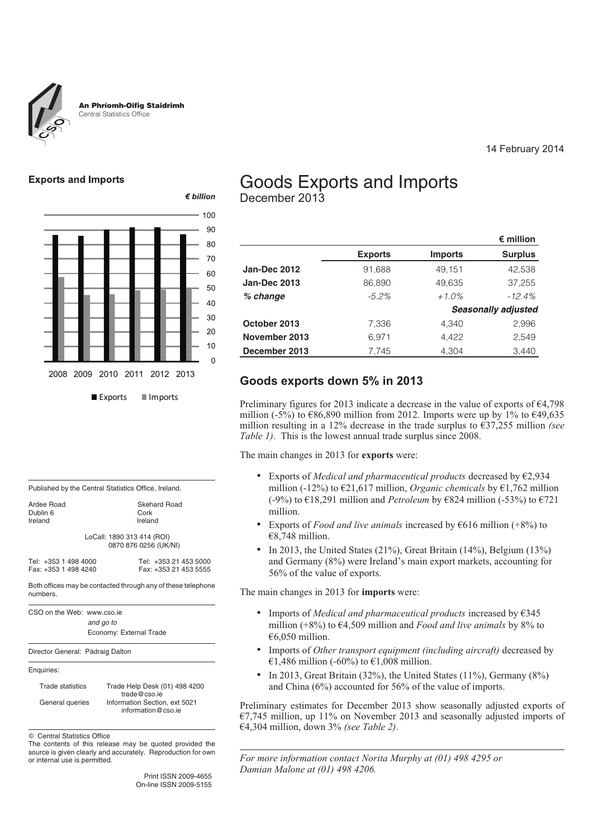

An Phríomh-Oifig Staidrimh Central Statistics Office

### **Exports and Imports**



# Goods Exports and Imports

December 2013

|                     |                |                | $\epsilon$ million         |
|---------------------|----------------|----------------|----------------------------|
|                     | <b>Exports</b> | <b>Imports</b> | <b>Surplus</b>             |
| Jan-Dec 2012        | 91,688         | 49,151         | 42,538                     |
| <b>Jan-Dec 2013</b> | 86,890         | 49,635         | 37,255                     |
| % change            | $-5.2\%$       | $+1.0\%$       | $-12.4%$                   |
|                     |                |                | <b>Seasonally adjusted</b> |
| October 2013        | 7.336          | 4.340          | 2,996                      |
| November 2013       | 6,971          | 4.422          | 2,549                      |
| December 2013       | 7,745          | 4,304          | 3,440                      |

14 February 2014

# **Goods exports down 5% in 2013**

Preliminary figures for 2013 indicate a decrease in the value of exports of €4,798 million (-5%) to  $\epsilon$ 86,890 million from 2012. Imports were up by 1% to  $\epsilon$ 49,635 million resulting in a 12% decrease in the trade surplus to €37,255 million *(see Table 1)*. This is the lowest annual trade surplus since 2008.

The main changes in 2013 for **exports** were:

- Exports of *Medical and pharmaceutical products* decreased by €2,934 million (-12%) to €21,617 million, *Organic chemicals* by €1,762 million (-9%) to €18,291 million and *Petroleum* by €824 million (-53%) to €721 million.
- Exports of *Food and live animals* increased by  $\epsilon$ 616 million (+8%) to €8,748 million.
- In 2013, the United States (21%), Great Britain (14%), Belgium (13%) and Germany (8%) were Ireland's main export markets, accounting for 56% of the value of exports.

The main changes in 2013 for **imports** were:

- Imports of *Medical and pharmaceutical products* increased by €345 million (+8%) to €4,509 million and *Food and live animals* by 8% to €6,050 million.
- Imports of *Other transport equipment (including aircraft)* decreased by €1,486 million (-60%) to €1,008 million.
- In 2013, Great Britain (32%), the United States (11%), Germany (8%) and China (6%) accounted for 56% of the value of imports.

Preliminary estimates for December 2013 show seasonally adjusted exports of  $\epsilon$ 7,745 million, up 11% on November 2013 and seasonally adjusted imports of €4,304 million, down 3% *(see Table 2)*.

*For more information contact Norita Murphy at (01) 498 4295 or Damian Malone at (01) 498 4206.*

| Published by the Central Statistics Office, Ireland. |                     |
|------------------------------------------------------|---------------------|
| Ardee Road                                           | <b>Skehard Road</b> |

Dublin 6 Cork<br>Ireland Ireland Ireland LoCall: 1890 313 414 (ROI)

0870 876 0256 (UK/NI)

Tel: +353 1 498 4000 Tel: +353 21 453 5000

Both offices may be contacted through any of these telephone numbers.

CSO on the Web: www.cso.ie *and go to* Economy: External Trade

Director General: Pádraig Dalton

Enquiries:

| <b>Trade statistics</b> | Trade Help Desk (01) 498 4200                                       |
|-------------------------|---------------------------------------------------------------------|
| General queries         | trade@cso.ie<br>Information Section, ext 5021<br>information@cso.ie |

 $©$  Central Statistics Office

The contents of this release may be quoted provided the source is given clearly and accurately. Reproduction for own or internal use is permitted.

> Print ISSN 2009-4655 On-line ISSN 2009-5155

Fax: +353 21 453 5555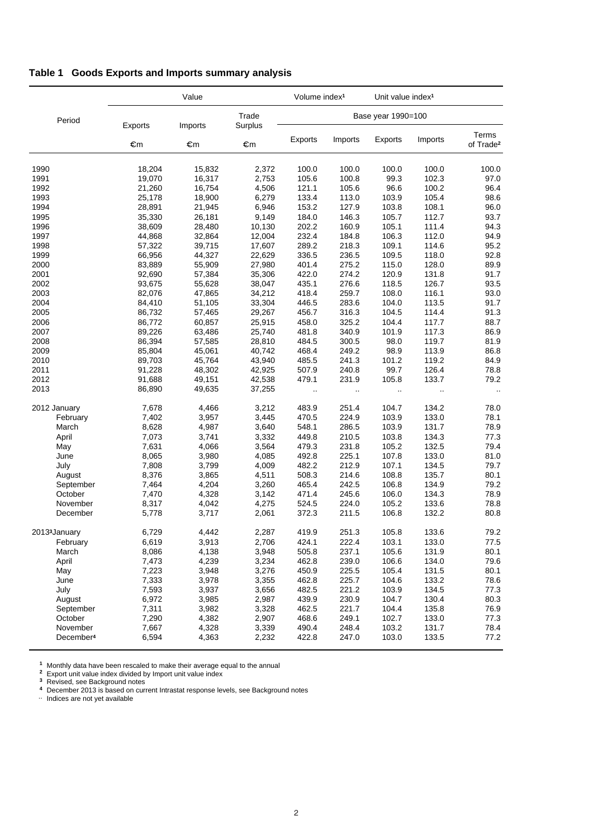# **Table 1 Goods Exports and Imports summary analysis**

|                           |         | Value   |                  | Volume index <sup>1</sup> |                    | Unit value index <sup>1</sup> |          |                                |
|---------------------------|---------|---------|------------------|---------------------------|--------------------|-------------------------------|----------|--------------------------------|
| Period                    | Exports | Imports | Trade<br>Surplus |                           | Base year 1990=100 |                               |          |                                |
|                           | €m      | €m      | €m               | <b>Exports</b>            | Imports            | Exports                       | Imports  | Terms<br>of Trade <sup>2</sup> |
| 1990                      | 18,204  | 15,832  | 2,372            | 100.0                     | 100.0              | 100.0                         | 100.0    | 100.0                          |
| 1991                      | 19,070  | 16,317  | 2,753            | 105.6                     | 100.8              | 99.3                          | 102.3    | 97.0                           |
| 1992                      | 21,260  | 16,754  | 4,506            | 121.1                     | 105.6              | 96.6                          | 100.2    | 96.4                           |
| 1993                      | 25,178  | 18,900  | 6,279            | 133.4                     | 113.0              | 103.9                         | 105.4    | 98.6                           |
| 1994                      | 28,891  | 21,945  | 6,946            | 153.2                     | 127.9              | 103.8                         | 108.1    | 96.0                           |
| 1995                      | 35,330  | 26,181  | 9,149            | 184.0                     | 146.3              | 105.7                         | 112.7    | 93.7                           |
| 1996                      | 38,609  | 28,480  | 10,130           | 202.2                     | 160.9              | 105.1                         | 111.4    | 94.3                           |
| 1997                      | 44,868  | 32,864  | 12,004           | 232.4                     | 184.8              | 106.3                         | 112.0    | 94.9                           |
| 1998                      | 57,322  | 39,715  | 17,607           | 289.2                     | 218.3              | 109.1                         | 114.6    | 95.2                           |
| 1999                      | 66,956  | 44,327  | 22,629           | 336.5                     | 236.5              | 109.5                         | 118.0    | 92.8                           |
| 2000                      | 83,889  | 55,909  | 27,980           | 401.4                     | 275.2              | 115.0                         | 128.0    | 89.9                           |
| 2001                      | 92,690  | 57,384  | 35,306           | 422.0                     | 274.2              | 120.9                         | 131.8    | 91.7                           |
| 2002                      | 93,675  | 55,628  | 38,047           | 435.1                     | 276.6              | 118.5                         | 126.7    | 93.5                           |
| 2003                      | 82,076  | 47,865  | 34,212           | 418.4                     | 259.7              | 108.0                         | 116.1    | 93.0                           |
| 2004                      | 84,410  | 51,105  | 33,304           | 446.5                     | 283.6              | 104.0                         | 113.5    | 91.7                           |
| 2005                      | 86,732  | 57,465  | 29,267           | 456.7                     | 316.3              | 104.5                         | 114.4    | 91.3                           |
| 2006                      | 86,772  | 60,857  | 25,915           | 458.0                     | 325.2              | 104.4                         | 117.7    | 88.7                           |
| 2007                      | 89,226  | 63,486  | 25.740           | 481.8                     | 340.9              | 101.9                         | 117.3    | 86.9                           |
| 2008                      | 86,394  | 57,585  | 28,810           | 484.5                     | 300.5              | 98.0                          | 119.7    | 81.9                           |
| 2009                      | 85,804  | 45,061  | 40,742           | 468.4                     | 249.2              | 98.9                          | 113.9    | 86.8                           |
| 2010                      | 89,703  | 45,764  | 43,940           | 485.5                     | 241.3              | 101.2                         | 119.2    | 84.9                           |
| 2011                      | 91,228  | 48,302  | 42,925           | 507.9                     | 240.8              | 99.7                          | 126.4    | 78.8                           |
| 2012                      | 91,688  | 49,151  | 42,538           | 479.1                     | 231.9              | 105.8                         | 133.7    | 79.2                           |
| 2013                      | 86,890  | 49,635  | 37,255           | $\ddotsc$                 | $\ddotsc$          | $\ddotsc$                     | $\ldots$ |                                |
| 2012 January              | 7,678   | 4,466   | 3,212            | 483.9                     | 251.4              | 104.7                         | 134.2    | 78.0                           |
| February                  | 7,402   | 3,957   | 3,445            | 470.5                     | 224.9              | 103.9                         | 133.0    | 78.1                           |
| March                     | 8,628   | 4,987   | 3,640            | 548.1                     | 286.5              | 103.9                         | 131.7    | 78.9                           |
| April                     | 7,073   | 3,741   | 3,332            | 449.8                     | 210.5              | 103.8                         | 134.3    | 77.3                           |
| May                       | 7,631   | 4,066   | 3,564            | 479.3                     | 231.8              | 105.2                         | 132.5    | 79.4                           |
| June                      | 8,065   | 3,980   | 4,085            | 492.8                     | 225.1              | 107.8                         | 133.0    | 81.0                           |
| July                      | 7,808   | 3,799   | 4,009            | 482.2                     | 212.9              | 107.1                         | 134.5    | 79.7                           |
| August                    | 8,376   | 3,865   | 4,511            | 508.3                     | 214.6              | 108.8                         | 135.7    | 80.1                           |
| September                 | 7,464   | 4,204   | 3,260            | 465.4                     | 242.5              | 106.8                         | 134.9    | 79.2                           |
| October                   | 7,470   | 4,328   | 3,142            | 471.4                     | 245.6              | 106.0                         | 134.3    | 78.9                           |
| November                  | 8,317   | 4,042   | 4,275            | 524.5                     | 224.0              | 105.2                         | 133.6    | 78.8                           |
| December                  | 5,778   | 3,717   | 2,061            | 372.3                     | 211.5              | 106.8                         | 132.2    | 80.8                           |
| 2013 <sup>3</sup> January | 6,729   | 4,442   | 2,287            | 419.9                     | 251.3              | 105.8                         | 133.6    | 79.2                           |
| February                  | 6,619   | 3,913   | 2,706            | 424.1                     | 222.4              | 103.1                         | 133.0    | 77.5                           |
| March                     | 8,086   | 4,138   | 3,948            | 505.8                     | 237.1              | 105.6                         | 131.9    | 80.1                           |
| April                     | 7,473   | 4,239   | 3,234            | 462.8                     | 239.0              | 106.6                         | 134.0    | 79.6                           |
| May                       | 7,223   | 3,948   | 3,276            | 450.9                     | 225.5              | 105.4                         | 131.5    | 80.1                           |
| June                      | 7,333   | 3,978   | 3,355            | 462.8                     | 225.7              | 104.6                         | 133.2    | 78.6                           |
| July                      | 7,593   | 3,937   | 3,656            | 482.5                     | 221.2              | 103.9                         | 134.5    | 77.3                           |
| August                    | 6,972   | 3,985   | 2,987            | 439.9                     | 230.9              | 104.7                         | 130.4    | 80.3                           |
| September                 | 7,311   | 3,982   | 3,328            | 462.5                     | 221.7              | 104.4                         | 135.8    | 76.9                           |
| October                   | 7,290   | 4,382   | 2,907            | 468.6                     | 249.1              | 102.7                         | 133.0    | 77.3                           |
| November                  | 7,667   | 4,328   | 3,339            | 490.4                     | 248.4              | 103.2                         | 131.7    | 78.4                           |
| December <sup>4</sup>     | 6,594   | 4,363   | 2,232            | 422.8                     | 247.0              | 103.0                         | 133.5    | 77.2                           |

**<sup>1</sup>** Monthly data have been rescaled to make their average equal to the annual

**<sup>2</sup>** Export unit value index divided by Import unit value index

**<sup>3</sup>** Revised, see Background notes

<sup>4</sup> Revised, see Background notes<br>4 December 2013 is based on current Intrastat response levels, see Background notes<br>.. Indices are not yet available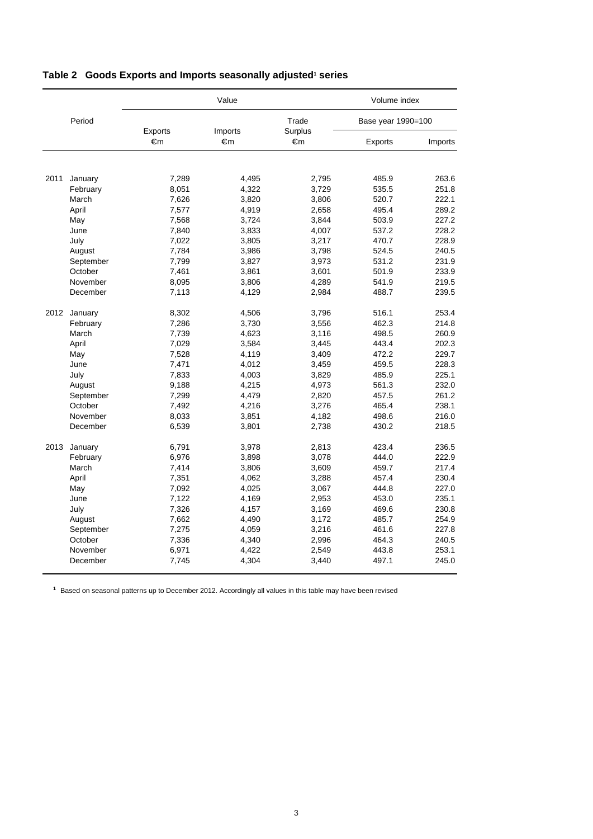|      |              |         | Value   |                  | Volume index       |       |  |
|------|--------------|---------|---------|------------------|--------------------|-------|--|
|      | Period       | Exports | Imports | Trade<br>Surplus | Base year 1990=100 |       |  |
|      | €m<br>€m     |         | €m      | Exports          | Imports            |       |  |
|      |              |         |         |                  |                    |       |  |
| 2011 | January      | 7,289   | 4,495   | 2,795            | 485.9              | 263.6 |  |
|      | February     | 8,051   | 4,322   | 3,729            | 535.5              | 251.8 |  |
|      | March        | 7,626   | 3,820   | 3,806            | 520.7              | 222.1 |  |
|      | April        | 7,577   | 4,919   | 2,658            | 495.4              | 289.2 |  |
|      | May          | 7,568   | 3,724   | 3,844            | 503.9              | 227.2 |  |
|      | June         | 7,840   | 3,833   | 4,007            | 537.2              | 228.2 |  |
|      | July         | 7,022   | 3,805   | 3,217            | 470.7              | 228.9 |  |
|      | August       | 7,784   | 3,986   | 3,798            | 524.5              | 240.5 |  |
|      | September    | 7,799   | 3,827   | 3,973            | 531.2              | 231.9 |  |
|      | October      | 7,461   | 3,861   | 3,601            | 501.9              | 233.9 |  |
|      | November     | 8,095   | 3,806   | 4,289            | 541.9              | 219.5 |  |
|      | December     | 7,113   | 4,129   | 2,984            | 488.7              | 239.5 |  |
|      | 2012 January | 8,302   | 4,506   | 3,796            | 516.1              | 253.4 |  |
|      | February     | 7,286   | 3,730   | 3,556            | 462.3              | 214.8 |  |
|      | March        | 7,739   | 4,623   | 3,116            | 498.5              | 260.9 |  |
|      | April        | 7,029   | 3,584   | 3,445            | 443.4              | 202.3 |  |
|      | May          | 7,528   | 4,119   | 3,409            | 472.2              | 229.7 |  |
|      | June         | 7,471   | 4,012   | 3,459            | 459.5              | 228.3 |  |
|      | July         | 7,833   | 4,003   | 3,829            | 485.9              | 225.1 |  |
|      | August       | 9,188   | 4,215   | 4,973            | 561.3              | 232.0 |  |
|      | September    | 7,299   | 4,479   | 2,820            | 457.5              | 261.2 |  |
|      | October      | 7,492   | 4,216   | 3,276            | 465.4              | 238.1 |  |
|      | November     | 8,033   | 3,851   | 4,182            | 498.6              | 216.0 |  |
|      | December     | 6,539   | 3,801   | 2,738            | 430.2              | 218.5 |  |
| 2013 | January      | 6,791   | 3,978   | 2,813            | 423.4              | 236.5 |  |
|      | February     | 6,976   | 3,898   | 3,078            | 444.0              | 222.9 |  |
|      | March        | 7,414   | 3,806   | 3,609            | 459.7              | 217.4 |  |
|      | April        | 7,351   | 4,062   | 3,288            | 457.4              | 230.4 |  |
|      | May          | 7,092   | 4,025   | 3,067            | 444.8              | 227.0 |  |
|      | June         | 7,122   | 4,169   | 2,953            | 453.0              | 235.1 |  |
|      | July         | 7,326   | 4,157   | 3,169            | 469.6              | 230.8 |  |
|      | August       | 7,662   | 4,490   | 3,172            | 485.7              | 254.9 |  |
|      | September    | 7,275   | 4,059   | 3,216            | 461.6              | 227.8 |  |
|      | October      | 7,336   | 4,340   | 2,996            | 464.3              | 240.5 |  |
|      | November     | 6,971   | 4,422   | 2,549            | 443.8              | 253.1 |  |
|      | December     | 7,745   | 4,304   | 3,440            | 497.1              | 245.0 |  |

#### Table 2 Goods Exports and Imports seasonally adjusted<sup>1</sup> series

**<sup>1</sup>** Based on seasonal patterns up to December 2012. Accordingly all values in this table may have been revised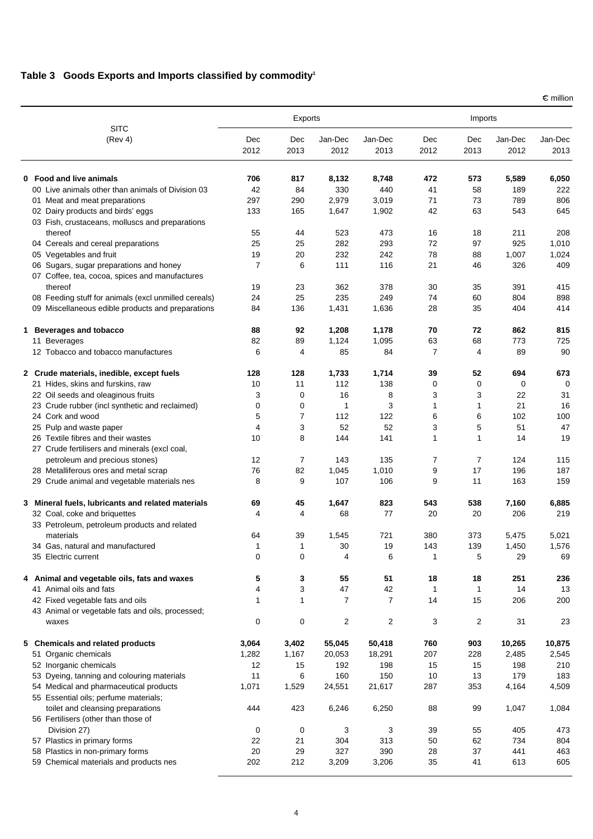#### **Table 3 Goods Exports and Imports classified by commodity1**

**SITC** (Rev 4) Exports **Imports** Dec 2012 Dec 2013 Jan-Dec 2012 Jan-Dec 2013 Dec 2012 Dec 2013 Jan-Dec 2012 Jan-Dec 2013 **0 Food and live animals 706 817 8,132 8,748 472 573 5,589 6,050** 00 Live animals other than animals of Division 03 42 84 330 440 41 58 189 222 01 Meat and meat preparations 1006 200 200 200 2,979 290 2,979 3,019 71 73 789 806 02 Dairy products and birds' eggs 133 165 1,647 1,902 42 63 543 645 03 Fish, crustaceans, molluscs and preparations thereof 55 44 523 473 16 18 211 208 04 Cereals and cereal preparations 25 25 282 293 72 97 925 1,010 05 Vegetables and fruit 19 19 19 20 232 242 78 88 1,007 1,024 06 Sugars, sugar preparations and honey **7** 111 116 21 46 326 409 07 Coffee, tea, cocoa, spices and manufactures thereof 19 23 362 378 30 35 391 415 08 Feeding stuff for animals (excl unmilled cereals)  $24$  25 235 249 74 60 804 898 09 Miscellaneous edible products and preparations  $84$  136 1,431 1,636 28 35 404 414 **1 Beverages and tobacco 88 92 1,208 1,178 70 72 862 815** 11 Beverages 82 89 1,124 1,095 63 68 773 725 12 Tobacco and tobacco manufactures 6  $\overline{a}$  6  $\overline{a}$  4  $\overline{a}$  84  $\overline{a}$  7  $\overline{a}$  89 90 **2 Crude materials, inedible, except fuels 128 128 1,733 1,714 39 52 694 673** 21 Hides, skins and furskins, raw 10 11 112 138 0 0 0 0 22 Oil seeds and oleaginous fruits 13 3 3 0 16 8 3 3 3 22 31 23 Crude rubber (incl synthetic and reclaimed)  $\begin{array}{cccc} 0 & 0 & 1 & 3 & 1 & 1 \end{array}$  1 1 21 16 24 Cork and wood 5 7 112 122 6 6 102 100 25 Pulp and waste paper 4 3 52 52 3 5 51 47 26 Textile fibres and their wastes 10 8 144 141 1 1 14 19 27 Crude fertilisers and minerals (excl coal, petroleum and precious stones) 12 7 143 135 7 7 124 115 28 Metalliferous ores and metal scrap 76 82 1,045 1,010 9 17 196 187 29 Crude animal and vegetable materials nes  $\begin{array}{cccc} 8 & 9 & 107 & 106 & 9 & 11 & 163 & 159 \end{array}$ **3 Mineral fuels, lubricants and related materials 69 45 1,647 823 543 538 7,160 6,885** 32 Coal, coke and briquettes 4 4 68 77 20 20 206 219 33 Petroleum, petroleum products and related materials 64 39 1,545 721 380 373 5,475 5,021 34 Gas, natural and manufactured 1 1 30 19 143 139 1,450 1,576 35 Electric current 0 0 4 6 1 5 29 69 **4 Animal and vegetable oils, fats and waxes 5 3 55 51 18 18 251 236** 41 Animal oils and fats **4** 3 44 42 1 1 14 13 42 Fixed vegetable fats and oils 1 1 7 7 14 15 206 200 43 Animal or vegetable fats and oils, processed; waxes 0 0 2 2 3 2 31 23 **5 Chemicals and related products 3,064 3,402 55,045 50,418 760 903 10,265 10,875** 51 Organic chemicals 1,282 1,167 20,053 18,291 207 228 2,485 2,545 52 Inorganic chemicals 12 15 192 198 15 15 198 210 53 Dyeing, tanning and colouring materials 11 1 1 6 160 150 10 13 179 183 54 Medical and pharmaceutical products 1,071 1,529 24,551 21,617 287 353 4,164 4,509 55 Essential oils; perfume materials; toilet and cleansing preparations 444 423 6,246 6,250 88 99 1,047 1,084 56 Fertilisers (other than those of Division 27) 0 0 3 3 39 55 405 473 57 Plastics in primary forms 22 21 304 313 50 62 734 804 58 Plastics in non-primary forms 20 29 327 390 28 37 441 463 59 Chemical materials and products nes 202 212 3,209 3,206 35 41 613 605

 $\epsilon$  million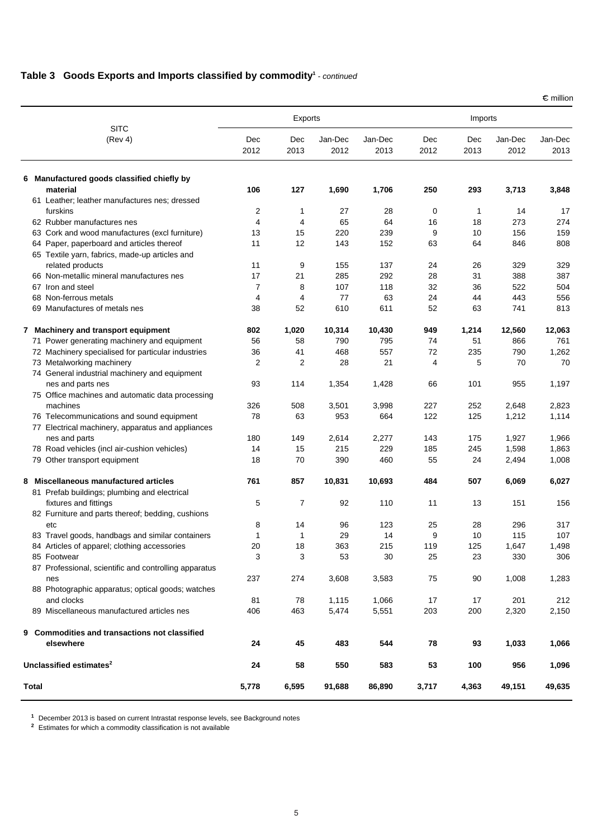#### **Table 3 Goods Exports and Imports classified by commodity<sup>1</sup> - continued**

|                                                         |                | Exports        |                 | Imports         |             |             |                 |                 |
|---------------------------------------------------------|----------------|----------------|-----------------|-----------------|-------------|-------------|-----------------|-----------------|
| <b>SITC</b><br>(Rev 4)                                  | Dec<br>2012    | Dec<br>2013    | Jan-Dec<br>2012 | Jan-Dec<br>2013 | Dec<br>2012 | Dec<br>2013 | Jan-Dec<br>2012 | Jan-Dec<br>2013 |
| 6 Manufactured goods classified chiefly by              |                |                |                 |                 |             |             |                 |                 |
| material                                                | 106            | 127            | 1,690           | 1,706           | 250         | 293         | 3,713           | 3,848           |
| 61 Leather; leather manufactures nes; dressed           |                |                |                 |                 |             |             |                 |                 |
| furskins                                                | 2              | 1              | 27              | 28              | 0           | 1           | 14              | 17              |
| 62 Rubber manufactures nes                              | $\overline{4}$ | 4              | 65              | 64              | 16          | 18          | 273             | 274             |
| 63 Cork and wood manufactures (excl furniture)          | 13             | 15             | 220             | 239             | 9           | 10          | 156             | 159             |
| 64 Paper, paperboard and articles thereof               | 11             | 12             | 143             | 152             | 63          | 64          | 846             | 808             |
| 65 Textile yarn, fabrics, made-up articles and          |                |                |                 |                 |             |             |                 |                 |
| related products                                        | 11             | 9              | 155             | 137             | 24          | 26          | 329             | 329             |
| 66 Non-metallic mineral manufactures nes                | 17             | 21             | 285             | 292             | 28          | 31          | 388             | 387             |
| 67 Iron and steel                                       | 7              | 8              | 107             | 118             | 32          | 36          | 522             | 504             |
| 68 Non-ferrous metals                                   | 4              | 4              | 77              | 63              | 24          | 44          | 443             | 556             |
| 69 Manufactures of metals nes                           | 38             | 52             | 610             | 611             | 52          | 63          | 741             | 813             |
| 7 Machinery and transport equipment                     | 802            | 1,020          | 10,314          | 10,430          | 949         | 1,214       | 12,560          | 12,063          |
| 71 Power generating machinery and equipment             | 56             | 58             | 790             | 795             | 74          | 51          | 866             | 761             |
| 72 Machinery specialised for particular industries      | 36             | 41             | 468             | 557             | 72          | 235         | 790             | 1,262           |
| 73 Metalworking machinery                               | 2              | $\overline{2}$ | 28              | 21              | 4           | 5           | 70              | 70              |
| 74 General industrial machinery and equipment           |                |                |                 |                 |             |             |                 |                 |
| nes and parts nes                                       | 93             | 114            | 1,354           | 1,428           | 66          | 101         | 955             | 1,197           |
| 75 Office machines and automatic data processing        |                |                |                 |                 |             |             |                 |                 |
| machines                                                | 326            | 508            | 3,501           | 3,998           | 227         | 252         | 2,648           | 2,823           |
| 76 Telecommunications and sound equipment               | 78             | 63             | 953             | 664             | 122         | 125         | 1,212           | 1,114           |
| 77 Electrical machinery, apparatus and appliances       |                |                |                 |                 |             |             |                 |                 |
| nes and parts                                           | 180            | 149            | 2,614           | 2,277           | 143         | 175         | 1,927           | 1,966           |
| 78 Road vehicles (incl air-cushion vehicles)            | 14             | 15             | 215             | 229             | 185         | 245         | 1,598           | 1,863           |
| 79 Other transport equipment                            | 18             | 70             | 390             | 460             | 55          | 24          | 2,494           | 1,008           |
| Miscellaneous manufactured articles<br>8                | 761            | 857            | 10,831          | 10,693          | 484         | 507         | 6,069           | 6,027           |
| 81 Prefab buildings; plumbing and electrical            |                |                |                 |                 |             |             |                 |                 |
| fixtures and fittings                                   | 5              | 7              | 92              | 110             | 11          | 13          | 151             | 156             |
| 82 Furniture and parts thereof; bedding, cushions       | 8              | 14             | 96              | 123             | 25          | 28          | 296             | 317             |
| etc<br>83 Travel goods, handbags and similar containers | 1              | 1              | 29              | 14              | 9           | 10          | 115             | 107             |
| 84 Articles of apparel; clothing accessories            | 20             | 18             | 363             | 215             | 119         | 125         | 1,647           | 1,498           |
| 85 Footwear                                             | 3              | 3              | 53              | 30              | 25          | 23          | 330             | 306             |
| 87 Professional, scientific and controlling apparatus   |                |                |                 |                 |             |             |                 |                 |
| nes                                                     | 237            | 274            | 3,608           | 3,583           | 75          | 90          | 1,008           | 1,283           |
| 88 Photographic apparatus; optical goods; watches       |                |                |                 |                 |             |             |                 |                 |
| and clocks                                              | 81             | 78             | 1,115           | 1,066           | 17          | 17          | 201             | 212             |
| 89 Miscellaneous manufactured articles nes              | 406            | 463            | 5,474           | 5,551           | 203         | 200         | 2,320           | 2,150           |
|                                                         |                |                |                 |                 |             |             |                 |                 |
| 9 Commodities and transactions not classified           |                |                |                 |                 |             |             |                 |                 |
| elsewhere                                               | 24             | 45             | 483             | 544             | 78          | 93          | 1,033           | 1,066           |
| Unclassified estimates <sup>2</sup>                     | 24             | 58             | 550             | 583             | 53          | 100         | 956             | 1,096           |
| Total                                                   | 5,778          | 6,595          | 91,688          | 86,890          | 3,717       | 4,363       | 49,151          | 49,635          |

**<sup>1</sup>** December 2013 is based on current Intrastat response levels, see Background notes

**<sup>2</sup>** Estimates for which a commodity classification is not available

 $\epsilon$  million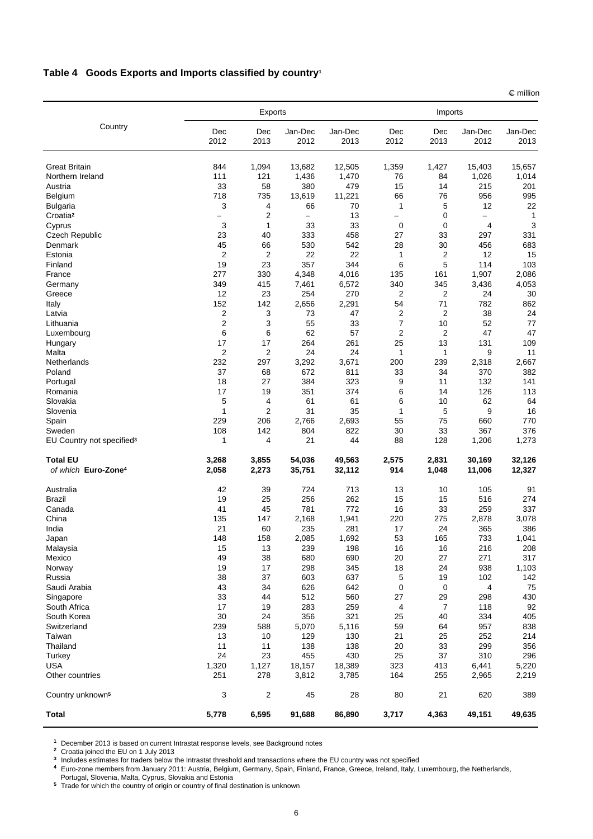# **Table 4 Goods Exports and Imports classified by country1**

|                                                 |                | Exports        |                 |                 |                                 | Imports        |                          |                 |
|-------------------------------------------------|----------------|----------------|-----------------|-----------------|---------------------------------|----------------|--------------------------|-----------------|
| Country                                         | Dec<br>2012    | Dec<br>2013    | Jan-Dec<br>2012 | Jan-Dec<br>2013 | $\mathop{\mathsf{Dec}}$<br>2012 | Dec<br>2013    | Jan-Dec<br>2012          | Jan-Dec<br>2013 |
| <b>Great Britain</b>                            | 844            | 1,094          | 13,682          | 12,505          | 1,359                           | 1,427          | 15.403                   | 15,657          |
| Northern Ireland                                | 111            | 121            | 1,436           | 1,470           | 76                              | 84             | 1,026                    | 1,014           |
| Austria                                         | 33             | 58             | 380             | 479             | 15                              | 14             | 215                      | 201             |
| Belgium                                         | 718            | 735            | 13,619          | 11,221          | 66                              | 76             | 956                      | 995             |
| <b>Bulgaria</b>                                 | 3              | 4              | 66              | 70              | 1                               | 5              | 12                       | 22              |
| Croatia <sup>2</sup>                            |                | 2              |                 | 13              | $\overline{\phantom{0}}$        | 0              | $\overline{\phantom{0}}$ | 1               |
| Cyprus                                          | 3              | 1              | 33              | 33              | 0                               | 0              | 4                        | 3               |
| <b>Czech Republic</b>                           | 23             | 40             | 333             | 458             | 27                              | 33             | 297                      | 331             |
| Denmark                                         | 45             | 66             | 530             | 542             | 28                              | 30             | 456                      | 683             |
| Estonia                                         | $\overline{2}$ | $\overline{2}$ | 22              | 22              | 1                               | $\overline{2}$ | 12                       | 15              |
| Finland                                         | 19             | 23             | 357             | 344             | 6                               | 5              | 114                      | 103             |
| France                                          | 277            | 330            | 4,348           | 4,016           | 135                             | 161            | 1,907                    | 2,086           |
| Germany                                         | 349            | 415            | 7,461           | 6,572           | 340                             | 345            | 3,436                    | 4,053           |
| Greece                                          | 12             | 23             | 254             | 270             | $\overline{2}$                  | $\overline{2}$ | 24                       | 30              |
| Italy                                           | 152            | 142            | 2,656           | 2,291           | 54                              | 71             | 782                      | 862             |
| Latvia                                          | 2              | 3              | 73              | 47              | $\overline{2}$                  | $\overline{2}$ | 38                       | 24              |
| Lithuania                                       | 2              | 3              | 55              | 33              | $\overline{7}$                  | 10             | 52                       | 77              |
| Luxembourg                                      | 6              | 6              | 62              | 57              | $\overline{2}$                  | $\overline{2}$ | 47                       | 47              |
| Hungary                                         | 17             | 17             | 264             | 261             | 25                              | 13             | 131                      | 109             |
| Malta                                           | $\overline{2}$ | 2              | 24              | 24              | 1                               | 1              | 9                        | 11              |
| Netherlands                                     | 232            | 297            | 3,292           | 3,671           | 200                             | 239            | 2,318                    | 2,667           |
| Poland                                          | 37             | 68             | 672             | 811             | 33                              | 34             | 370                      | 382             |
| Portugal                                        | 18             | 27             | 384             | 323             | 9                               | 11             | 132                      | 141             |
| Romania                                         | 17             | 19             | 351             | 374             | 6                               | 14             | 126                      | 113             |
| Slovakia                                        | 5              | 4              | 61              | 61              | 6                               | 10             | 62                       | 64              |
| Slovenia                                        | 1              | $\overline{2}$ | 31              | 35              | 1                               | 5              | 9                        | 16              |
| Spain                                           | 229            | 206            | 2,766           | 2,693           | 55                              | 75             | 660                      | 770             |
| Sweden<br>EU Country not specified <sup>3</sup> | 108<br>1       | 142<br>4       | 804<br>21       | 822<br>44       | 30<br>88                        | 33<br>128      | 367<br>1,206             | 376<br>1,273    |
| <b>Total EU</b>                                 | 3,268          | 3,855          | 54,036          | 49,563          | 2,575                           | 2,831          | 30,169                   | 32,126          |
| of which Euro-Zone <sup>4</sup>                 | 2,058          | 2,273          | 35,751          | 32,112          | 914                             | 1,048          | 11,006                   | 12,327          |
| Australia                                       | 42             | 39             | 724             | 713             | 13                              | 10             | 105                      | 91              |
| <b>Brazil</b>                                   | 19             | 25             | 256             | 262             | 15                              | 15             | 516                      | 274             |
| Canada                                          | 41             | 45             | 781             | 772             | 16                              | 33             | 259                      | 337             |
| China                                           | 135            | 147            | 2,168           | 1,941           | 220                             | 275            | 2,878                    | 3,078           |
| India                                           | 21             | 60             | 235             | 281             | 17                              | 24             | 365                      | 386             |
| Japan                                           | 148            | 158            | 2,085           | 1,692           | 53                              | 165            | 733                      | 1,041           |
| Malaysia                                        | 15             | 13             | 239             | 198             | 16                              | 16             | 216                      | 208             |
| Mexico                                          | 49             | 38             | 680             | 690             | 20                              | 27             | 271                      | 317             |
| Norway                                          | 19             | 17             | 298             | 345             | 18                              | 24             | 938                      | 1,103           |
| Russia                                          | 38             | 37             | 603             | 637             | 5                               | 19             | 102                      | 142             |
| Saudi Arabia<br>Singapore                       | 43<br>33       | 34<br>44       | 626<br>512      | 642<br>560      | 0<br>27                         | 0<br>29        | 4<br>298                 | 75              |
| South Africa                                    | 17             | 19             | 283             | 259             |                                 | $\overline{7}$ | 118                      | 430<br>92       |
| South Korea                                     | 30             | 24             | 356             | 321             | 4<br>25                         | 40             | 334                      | 405             |
| Switzerland                                     | 239            | 588            | 5,070           |                 | 59                              | 64             | 957                      | 838             |
| Taiwan                                          | 13             | 10             | 129             | 5,116<br>130    | 21                              | 25             | 252                      | 214             |
| Thailand                                        | 11             | 11             | 138             | 138             | 20                              | 33             | 299                      | 356             |
| Turkey                                          | 24             | 23             | 455             | 430             | 25                              | 37             | 310                      | 296             |
| <b>USA</b>                                      | 1,320          | 1,127          | 18,157          | 18,389          | 323                             | 413            | 6,441                    | 5,220           |
| Other countries                                 | 251            | 278            | 3,812           | 3,785           | 164                             | 255            | 2,965                    | 2,219           |
|                                                 |                |                |                 |                 |                                 |                |                          |                 |
| Country unknown <sup>5</sup>                    | 3              | 2              | 45              | 28              | 80                              | 21             | 620                      | 389             |
| <b>Total</b>                                    | 5,778          | 6,595          | 91,688          | 86,890          | 3,717                           | 4,363          | 49,151                   | 49,635          |

**<sup>1</sup>** December 2013 is based on current Intrastat response levels, see Background notes

**<sup>2</sup>** Croatia joined the EU on 1 July 2013

**<sup>3</sup>** Includes estimates for traders below the Intrastat threshold and transactions where the EU country was not specified

**<sup>4</sup>** Euro-zone members from January 2011: Austria, Belgium, Germany, Spain, Finland, France, Greece, Ireland, Italy, Luxembourg, the Netherlands, Portugal, Slovenia, Malta, Cyprus, Slovakia and Estonia

**<sup>5</sup>** Trade for which the country of origin or country of final destination is unknown

 $\epsilon$  million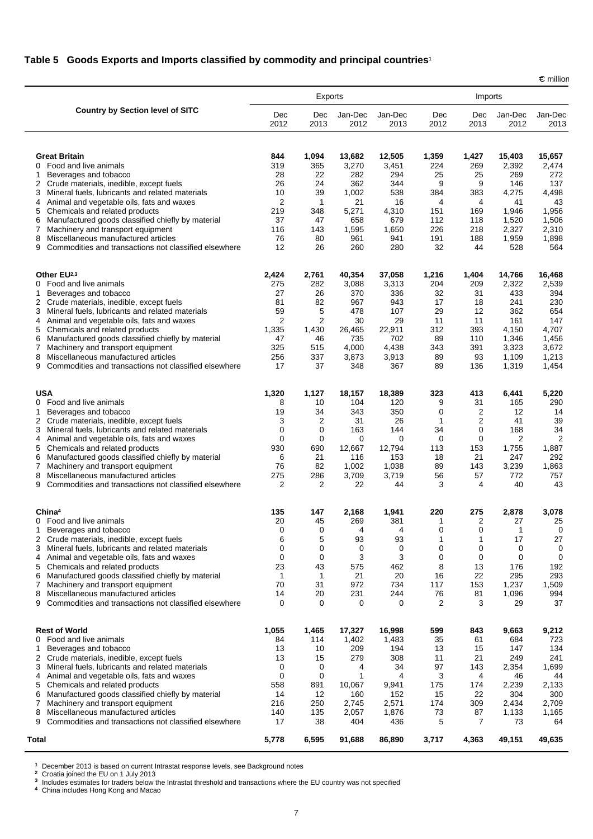# **Table 5 Goods Exports and Imports classified by commodity and principal countries1**

 $\epsilon$  million

|                                                                                                                                                                                       | Exports                          |                         |                           |                         | Imports             |                     |                           |                           |
|---------------------------------------------------------------------------------------------------------------------------------------------------------------------------------------|----------------------------------|-------------------------|---------------------------|-------------------------|---------------------|---------------------|---------------------------|---------------------------|
| <b>Country by Section level of SITC</b>                                                                                                                                               | Dec<br>2012                      | Dec<br>2013             | Jan-Dec<br>2012           | Jan-Dec<br>2013         | Dec<br>2012         | Dec<br>2013         | Jan-Dec<br>2012           | Jan-Dec<br>2013           |
| <b>Great Britain</b><br>Food and live animals<br>0                                                                                                                                    | 844<br>319                       | 1,094<br>365            | 13,682<br>3,270           | 12,505<br>3,451         | 1,359<br>224        | 1,427<br>269        | 15,403<br>2,392           | 15,657<br>2,474           |
| Beverages and tobacco<br>1<br>Crude materials, inedible, except fuels<br>2<br>Mineral fuels, lubricants and related materials<br>3.<br>Animal and vegetable oils, fats and waxes<br>4 | 28<br>26<br>10<br>$\overline{2}$ | 22<br>24<br>39<br>1     | 282<br>362<br>1,002<br>21 | 294<br>344<br>538<br>16 | 25<br>9<br>384<br>4 | 25<br>9<br>383<br>4 | 269<br>146<br>4,275<br>41 | 272<br>137<br>4,498<br>43 |
| Chemicals and related products<br>5<br>Manufactured goods classified chiefly by material<br>6<br>Machinery and transport equipment<br>7                                               | 219<br>37<br>116                 | 348<br>47<br>143        | 5,271<br>658<br>1,595     | 4,310<br>679<br>1,650   | 151<br>112<br>226   | 169<br>118<br>218   | 1,946<br>1,520<br>2,327   | 1,956<br>1,506<br>2,310   |
| Miscellaneous manufactured articles<br>8<br>Commodities and transactions not classified elsewhere<br>9                                                                                | 76<br>12                         | 80<br>26                | 961<br>260                | 941<br>280              | 191<br>32           | 188<br>44           | 1,959<br>528              | 1,898<br>564              |
| Other EU2,3<br>Food and live animals<br>0                                                                                                                                             | 2,424<br>275                     | 2,761<br>282            | 40,354<br>3,088           | 37,058<br>3,313         | 1,216<br>204        | 1,404<br>209        | 14,766<br>2,322           | 16,468<br>2,539           |
| Beverages and tobacco<br>1<br>$\overline{2}$<br>Crude materials, inedible, except fuels                                                                                               | 27<br>81                         | 26<br>82                | 370<br>967                | 336<br>943              | 32<br>17            | 31<br>18            | 433<br>241                | 394<br>230                |
| Mineral fuels, lubricants and related materials<br>3.                                                                                                                                 | 59                               | 5                       | 478                       | 107                     | 29                  | 12                  | 362                       | 654                       |
| Animal and vegetable oils, fats and waxes<br>4<br>Chemicals and related products<br>5                                                                                                 | $\overline{2}$<br>1,335          | $\overline{2}$<br>1,430 | 30<br>26,465              | 29<br>22,911            | 11<br>312           | 11<br>393           | 161<br>4,150              | 147<br>4,707              |
| Manufactured goods classified chiefly by material<br>6                                                                                                                                | 47                               | 46                      | 735                       | 702                     | 89                  | 110                 | 1,346                     | 1,456                     |
| Machinery and transport equipment<br>7<br>Miscellaneous manufactured articles<br>8                                                                                                    | 325<br>256                       | 515<br>337              | 4,000<br>3,873            | 4,438<br>3,913          | 343<br>89           | 391<br>93           | 3,323<br>1,109            | 3,672<br>1,213            |
| Commodities and transactions not classified elsewhere<br>9                                                                                                                            | 17                               | 37                      | 348                       | 367                     | 89                  | 136                 | 1,319                     | 1,454                     |
| <b>USA</b><br>0 Food and live animals                                                                                                                                                 | 1,320                            | 1,127                   | 18,157<br>104             | 18,389<br>120           | 323<br>9            | 413<br>31           | 6,441<br>165              | 5,220<br>290              |
| Beverages and tobacco<br>1                                                                                                                                                            | 8<br>19                          | 10<br>34                | 343                       | 350                     | $\mathbf 0$         | 2                   | 12                        | 14                        |
| 2 Crude materials, inedible, except fuels                                                                                                                                             | 3                                | 2                       | 31                        | 26                      | 1                   | 2                   | 41                        | 39                        |
| Mineral fuels, lubricants and related materials<br>3<br>Animal and vegetable oils, fats and waxes<br>4                                                                                | $\mathbf 0$<br>$\mathbf 0$       | 0<br>$\mathbf 0$        | 163<br>0                  | 144<br>$\mathbf 0$      | 34<br>0             | 0<br>0              | 168<br>2                  | 34<br>$\overline{2}$      |
| Chemicals and related products<br>5                                                                                                                                                   | 930                              | 690                     | 12,667                    | 12,794                  | 113                 | 153                 | 1,755                     | 1,887                     |
| Manufactured goods classified chiefly by material<br>6<br>Machinery and transport equipment<br>7                                                                                      | 6<br>76                          | 21<br>82                | 116<br>1,002              | 153<br>1,038            | 18<br>89            | 21<br>143           | 247<br>3,239              | 292<br>1,863              |
| Miscellaneous manufactured articles<br>8                                                                                                                                              | 275                              | 286                     | 3,709                     | 3,719                   | 56                  | 57                  | 772                       | 757                       |
| Commodities and transactions not classified elsewhere<br>9                                                                                                                            | $\overline{2}$                   | 2                       | 22                        | 44                      | 3                   | 4                   | 40                        | 43                        |
| China <sup>4</sup><br>Food and live animals<br>0                                                                                                                                      | 135<br>20                        | 147<br>45               | 2,168<br>269              | 1,941<br>381            | 220<br>1            | 275<br>2            | 2,878<br>27               | 3,078<br>25               |
| Beverages and tobacco<br>1.                                                                                                                                                           | $\mathbf 0$                      | $\mathbf 0$             | 4                         | $\overline{4}$          | $\Omega$            | $\mathbf{0}$        | 1                         | $\mathbf 0$               |
| 2<br>Crude materials, inedible, except fuels<br>3<br>Mineral fuels, lubricants and related materials                                                                                  | 6<br>$\mathbf 0$                 | 5<br>0                  | 93<br>0                   | 93<br>$\mathbf 0$       | 1<br>0              | 1<br>0              | 17<br>0                   | 27<br>0                   |
| Animal and vegetable oils, fats and waxes<br>4                                                                                                                                        | $\mathbf 0$                      | $\mathbf 0$             | 3                         | 3                       | 0                   | $\mathbf 0$         | $\mathbf 0$               | 0                         |
| Chemicals and related products<br>5                                                                                                                                                   | 23<br>1                          | 43<br>1                 | 575<br>21                 | 462<br>20               | 8<br>16             | 13<br>22            | 176<br>295                | 192<br>293                |
| Manufactured goods classified chiefly by material<br>6<br>Machinery and transport equipment<br>7                                                                                      | 70                               | 31                      | 972                       | 734                     | 117                 | 153                 | 1,237                     | 1,509                     |
| Miscellaneous manufactured articles<br>8<br>Commodities and transactions not classified elsewhere<br>9                                                                                | 14<br>0                          | 20<br>0                 | 231<br>0                  | 244<br>0                | 76<br>2             | 81<br>3             | 1,096<br>29               | 994<br>37                 |
| <b>Rest of World</b>                                                                                                                                                                  | 1,055                            | 1,465                   | 17,327                    | 16,998                  | 599                 | 843                 | 9,663                     | 9,212                     |
| Food and live animals<br>0<br>Beverages and tobacco<br>1                                                                                                                              | 84<br>13                         | 114<br>10               | 1,402<br>209              | 1,483<br>194            | 35<br>13            | 61<br>15            | 684<br>147                | 723<br>134                |
| 2<br>Crude materials, inedible, except fuels                                                                                                                                          | 13                               | 15                      | 279                       | 308                     | 11                  | 21                  | 249                       | 241                       |
| Mineral fuels, lubricants and related materials<br>3                                                                                                                                  | 0                                | 0                       | 4                         | 34                      | 97                  | 143                 | 2,354                     | 1,699                     |
| Animal and vegetable oils, fats and waxes<br>4<br>Chemicals and related products<br>5                                                                                                 | 0<br>558                         | 0<br>891                | 1<br>10,067               | 4<br>9,941              | 3<br>175            | 4<br>174            | 46<br>2,239               | 44<br>2,133               |
| Manufactured goods classified chiefly by material<br>6                                                                                                                                | 14                               | 12                      | 160                       | 152                     | 15                  | 22                  | 304                       | 300                       |
| Machinery and transport equipment<br>7<br>Miscellaneous manufactured articles<br>8                                                                                                    | 216<br>140                       | 250<br>135              | 2,745<br>2,057            | 2,571<br>1,876          | 174<br>73           | 309<br>87           | 2,434<br>1,133            | 2,709<br>1,165            |
| Commodities and transactions not classified elsewhere<br>9                                                                                                                            | 17                               | 38                      | 404                       | 436                     | 5                   | 7                   | 73                        | 64                        |
| Total                                                                                                                                                                                 | 5,778                            | 6,595                   | 91,688                    | 86,890                  | 3,717               | 4,363               | 49,151                    | 49,635                    |

1 December 2013 is based on current Intrastat response levels, see Background notes<br><sup>2</sup> Croatia joined the EU on 1 July 2013<br><sup>3</sup> Includes estimates for traders below the Intrastat threshold and transactions where the EU co